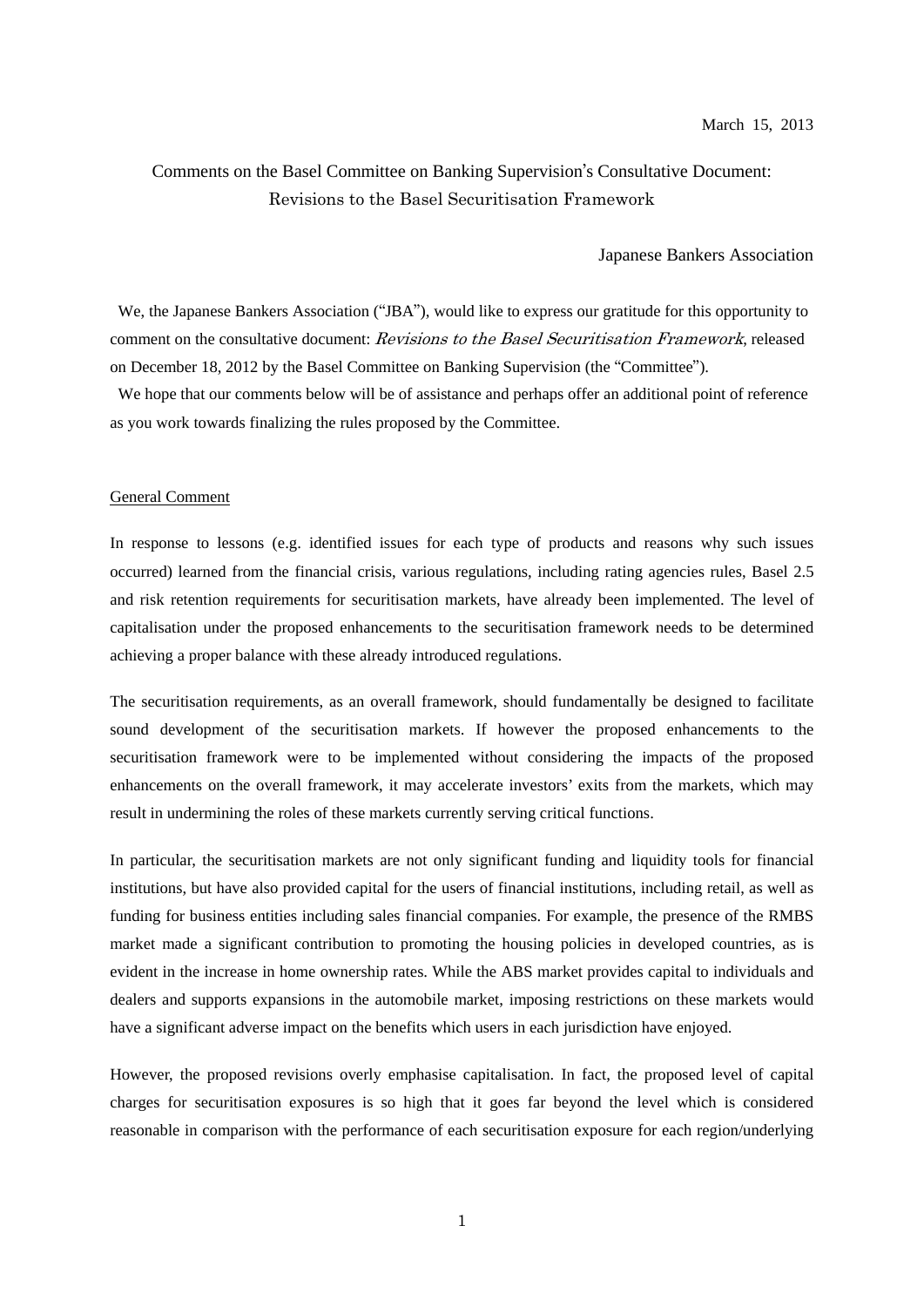# Comments on the Basel Committee on Banking Supervision's Consultative Document: Revisions to the Basel Securitisation Framework

#### Japanese Bankers Association

We, the Japanese Bankers Association ("JBA"), would like to express our gratitude for this opportunity to comment on the consultative document: Revisions to the Basel Securitisation Framework, released on December 18, 2012 by the Basel Committee on Banking Supervision (the "Committee").

We hope that our comments below will be of assistance and perhaps offer an additional point of reference as you work towards finalizing the rules proposed by the Committee.

#### General Comment

In response to lessons (e.g. identified issues for each type of products and reasons why such issues occurred) learned from the financial crisis, various regulations, including rating agencies rules, Basel 2.5 and risk retention requirements for securitisation markets, have already been implemented. The level of capitalisation under the proposed enhancements to the securitisation framework needs to be determined achieving a proper balance with these already introduced regulations.

The securitisation requirements, as an overall framework, should fundamentally be designed to facilitate sound development of the securitisation markets. If however the proposed enhancements to the securitisation framework were to be implemented without considering the impacts of the proposed enhancements on the overall framework, it may accelerate investors' exits from the markets, which may result in undermining the roles of these markets currently serving critical functions.

In particular, the securitisation markets are not only significant funding and liquidity tools for financial institutions, but have also provided capital for the users of financial institutions, including retail, as well as funding for business entities including sales financial companies. For example, the presence of the RMBS market made a significant contribution to promoting the housing policies in developed countries, as is evident in the increase in home ownership rates. While the ABS market provides capital to individuals and dealers and supports expansions in the automobile market, imposing restrictions on these markets would have a significant adverse impact on the benefits which users in each jurisdiction have enjoyed.

However, the proposed revisions overly emphasise capitalisation. In fact, the proposed level of capital charges for securitisation exposures is so high that it goes far beyond the level which is considered reasonable in comparison with the performance of each securitisation exposure for each region/underlying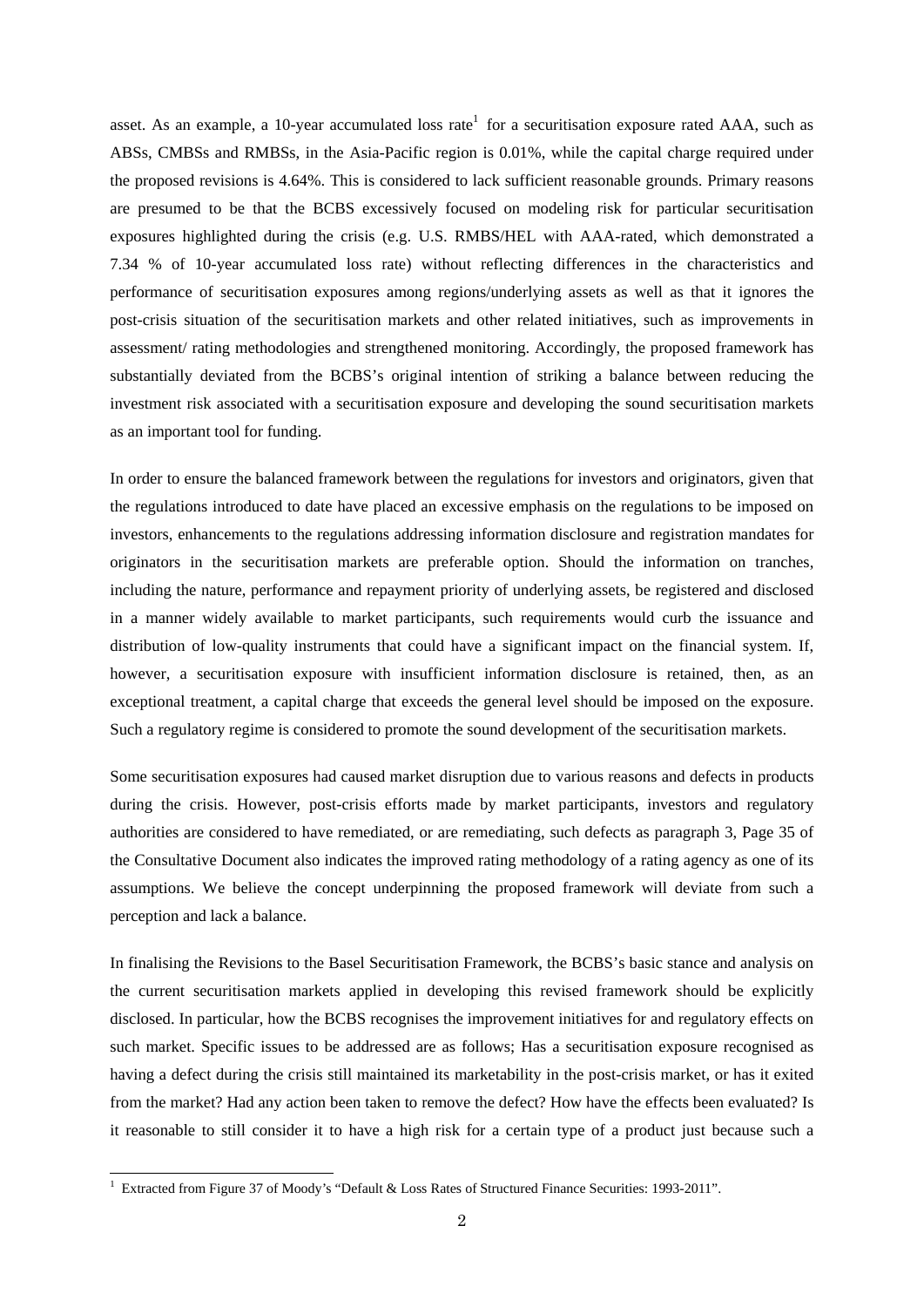asset. As an example, a 10-year accumulated loss rate<sup>1</sup> for a securitisation exposure rated AAA, such as ABSs, CMBSs and RMBSs, in the Asia-Pacific region is 0.01%, while the capital charge required under the proposed revisions is 4.64%. This is considered to lack sufficient reasonable grounds. Primary reasons are presumed to be that the BCBS excessively focused on modeling risk for particular securitisation exposures highlighted during the crisis (e.g. U.S. RMBS/HEL with AAA-rated, which demonstrated a 7.34 % of 10-year accumulated loss rate) without reflecting differences in the characteristics and performance of securitisation exposures among regions/underlying assets as well as that it ignores the post-crisis situation of the securitisation markets and other related initiatives, such as improvements in assessment/ rating methodologies and strengthened monitoring. Accordingly, the proposed framework has substantially deviated from the BCBS's original intention of striking a balance between reducing the investment risk associated with a securitisation exposure and developing the sound securitisation markets as an important tool for funding.

In order to ensure the balanced framework between the regulations for investors and originators, given that the regulations introduced to date have placed an excessive emphasis on the regulations to be imposed on investors, enhancements to the regulations addressing information disclosure and registration mandates for originators in the securitisation markets are preferable option. Should the information on tranches, including the nature, performance and repayment priority of underlying assets, be registered and disclosed in a manner widely available to market participants, such requirements would curb the issuance and distribution of low-quality instruments that could have a significant impact on the financial system. If, however, a securitisation exposure with insufficient information disclosure is retained, then, as an exceptional treatment, a capital charge that exceeds the general level should be imposed on the exposure. Such a regulatory regime is considered to promote the sound development of the securitisation markets.

Some securitisation exposures had caused market disruption due to various reasons and defects in products during the crisis. However, post-crisis efforts made by market participants, investors and regulatory authorities are considered to have remediated, or are remediating, such defects as paragraph 3, Page 35 of the Consultative Document also indicates the improved rating methodology of a rating agency as one of its assumptions. We believe the concept underpinning the proposed framework will deviate from such a perception and lack a balance.

In finalising the Revisions to the Basel Securitisation Framework, the BCBS's basic stance and analysis on the current securitisation markets applied in developing this revised framework should be explicitly disclosed. In particular, how the BCBS recognises the improvement initiatives for and regulatory effects on such market. Specific issues to be addressed are as follows; Has a securitisation exposure recognised as having a defect during the crisis still maintained its marketability in the post-crisis market, or has it exited from the market? Had any action been taken to remove the defect? How have the effects been evaluated? Is it reasonable to still consider it to have a high risk for a certain type of a product just because such a

 1 Extracted from Figure 37 of Moody's "Default & Loss Rates of Structured Finance Securities: 1993-2011".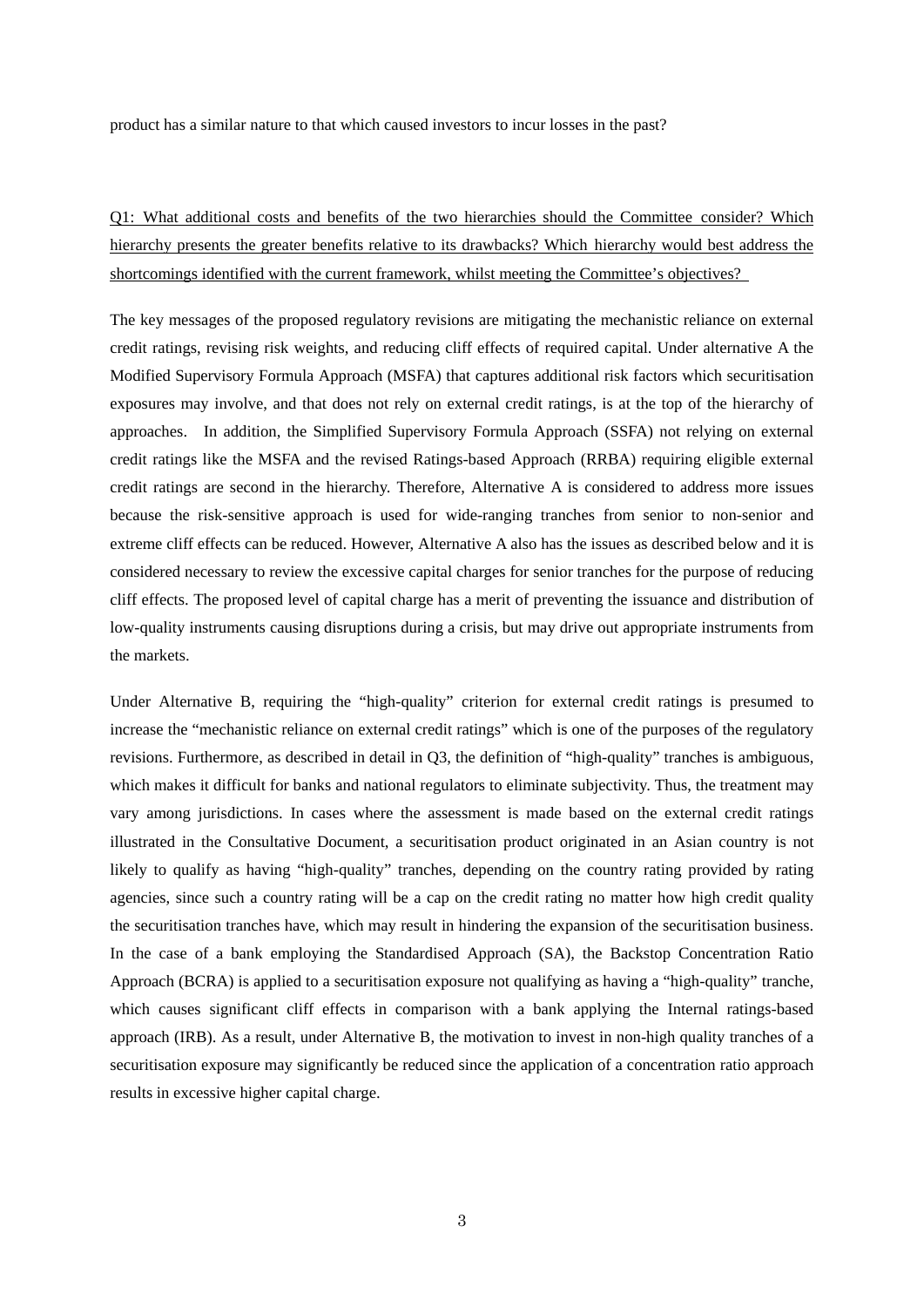product has a similar nature to that which caused investors to incur losses in the past?

Q1: What additional costs and benefits of the two hierarchies should the Committee consider? Which hierarchy presents the greater benefits relative to its drawbacks? Which hierarchy would best address the shortcomings identified with the current framework, whilst meeting the Committee's objectives?

The key messages of the proposed regulatory revisions are mitigating the mechanistic reliance on external credit ratings, revising risk weights, and reducing cliff effects of required capital. Under alternative A the Modified Supervisory Formula Approach (MSFA) that captures additional risk factors which securitisation exposures may involve, and that does not rely on external credit ratings, is at the top of the hierarchy of approaches. In addition, the Simplified Supervisory Formula Approach (SSFA) not relying on external credit ratings like the MSFA and the revised Ratings-based Approach (RRBA) requiring eligible external credit ratings are second in the hierarchy. Therefore, Alternative A is considered to address more issues because the risk-sensitive approach is used for wide-ranging tranches from senior to non-senior and extreme cliff effects can be reduced. However, Alternative A also has the issues as described below and it is considered necessary to review the excessive capital charges for senior tranches for the purpose of reducing cliff effects. The proposed level of capital charge has a merit of preventing the issuance and distribution of low-quality instruments causing disruptions during a crisis, but may drive out appropriate instruments from the markets.

Under Alternative B, requiring the "high-quality" criterion for external credit ratings is presumed to increase the "mechanistic reliance on external credit ratings" which is one of the purposes of the regulatory revisions. Furthermore, as described in detail in Q3, the definition of "high-quality" tranches is ambiguous, which makes it difficult for banks and national regulators to eliminate subjectivity. Thus, the treatment may vary among jurisdictions. In cases where the assessment is made based on the external credit ratings illustrated in the Consultative Document, a securitisation product originated in an Asian country is not likely to qualify as having "high-quality" tranches, depending on the country rating provided by rating agencies, since such a country rating will be a cap on the credit rating no matter how high credit quality the securitisation tranches have, which may result in hindering the expansion of the securitisation business. In the case of a bank employing the Standardised Approach (SA), the Backstop Concentration Ratio Approach (BCRA) is applied to a securitisation exposure not qualifying as having a "high-quality" tranche, which causes significant cliff effects in comparison with a bank applying the Internal ratings-based approach (IRB). As a result, under Alternative B, the motivation to invest in non-high quality tranches of a securitisation exposure may significantly be reduced since the application of a concentration ratio approach results in excessive higher capital charge.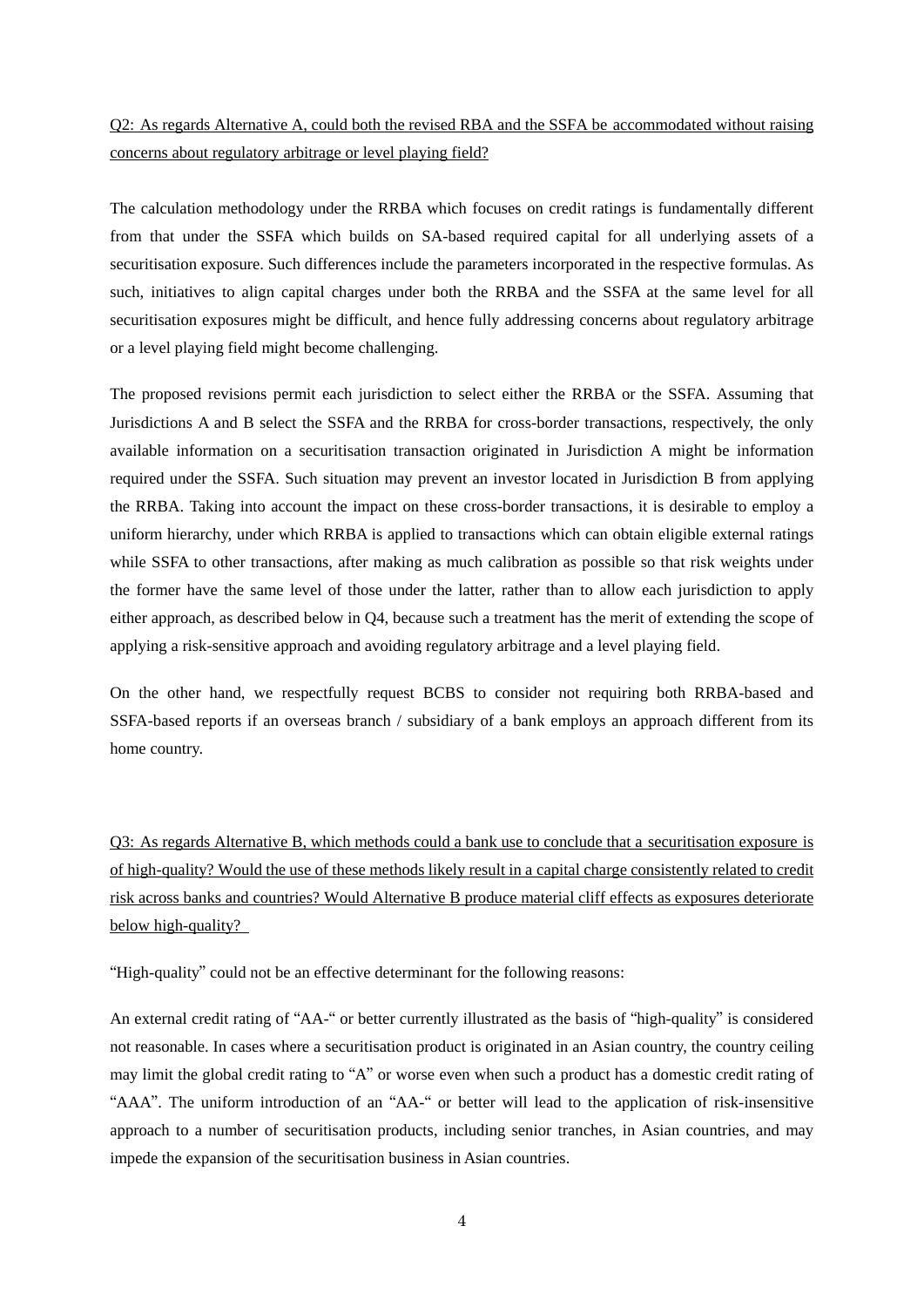# Q2: As regards Alternative A, could both the revised RBA and the SSFA be accommodated without raising concerns about regulatory arbitrage or level playing field?

The calculation methodology under the RRBA which focuses on credit ratings is fundamentally different from that under the SSFA which builds on SA-based required capital for all underlying assets of a securitisation exposure. Such differences include the parameters incorporated in the respective formulas. As such, initiatives to align capital charges under both the RRBA and the SSFA at the same level for all securitisation exposures might be difficult, and hence fully addressing concerns about regulatory arbitrage or a level playing field might become challenging.

The proposed revisions permit each jurisdiction to select either the RRBA or the SSFA. Assuming that Jurisdictions A and B select the SSFA and the RRBA for cross-border transactions, respectively, the only available information on a securitisation transaction originated in Jurisdiction A might be information required under the SSFA. Such situation may prevent an investor located in Jurisdiction B from applying the RRBA. Taking into account the impact on these cross-border transactions, it is desirable to employ a uniform hierarchy, under which RRBA is applied to transactions which can obtain eligible external ratings while SSFA to other transactions, after making as much calibration as possible so that risk weights under the former have the same level of those under the latter, rather than to allow each jurisdiction to apply either approach, as described below in Q4, because such a treatment has the merit of extending the scope of applying a risk-sensitive approach and avoiding regulatory arbitrage and a level playing field.

On the other hand, we respectfully request BCBS to consider not requiring both RRBA-based and SSFA-based reports if an overseas branch / subsidiary of a bank employs an approach different from its home country.

Q3: As regards Alternative B, which methods could a bank use to conclude that a securitisation exposure is of high-quality? Would the use of these methods likely result in a capital charge consistently related to credit risk across banks and countries? Would Alternative B produce material cliff effects as exposures deteriorate below high-quality?

"High-quality" could not be an effective determinant for the following reasons:

An external credit rating of "AA-" or better currently illustrated as the basis of "high-quality" is considered not reasonable. In cases where a securitisation product is originated in an Asian country, the country ceiling may limit the global credit rating to "A" or worse even when such a product has a domestic credit rating of "AAA". The uniform introduction of an "AA-" or better will lead to the application of risk-insensitive approach to a number of securitisation products, including senior tranches, in Asian countries, and may impede the expansion of the securitisation business in Asian countries.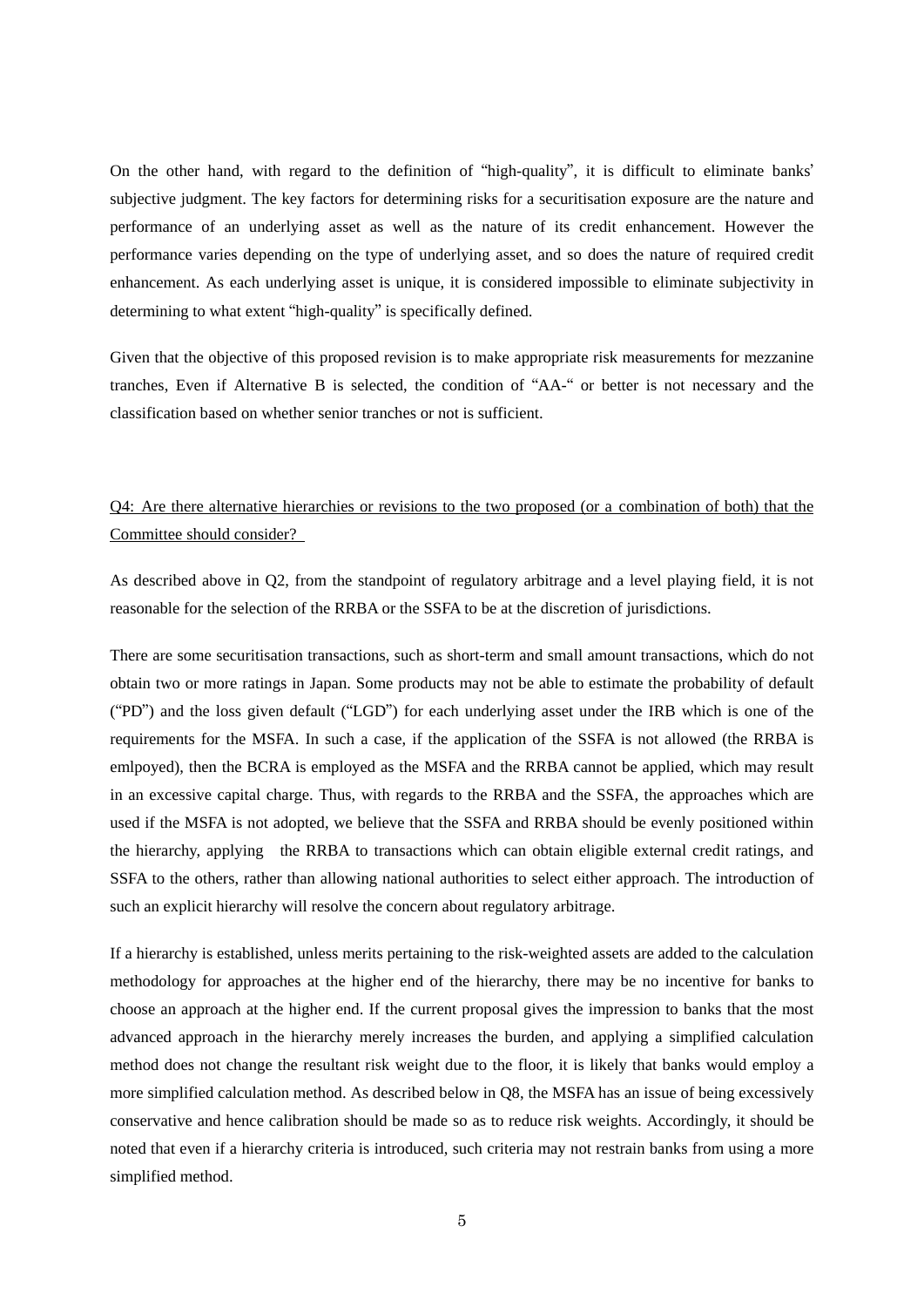On the other hand, with regard to the definition of "high-quality", it is difficult to eliminate banks' subjective judgment. The key factors for determining risks for a securitisation exposure are the nature and performance of an underlying asset as well as the nature of its credit enhancement. However the performance varies depending on the type of underlying asset, and so does the nature of required credit enhancement. As each underlying asset is unique, it is considered impossible to eliminate subjectivity in determining to what extent "high-quality" is specifically defined.

Given that the objective of this proposed revision is to make appropriate risk measurements for mezzanine tranches, Even if Alternative B is selected, the condition of "AA-" or better is not necessary and the classification based on whether senior tranches or not is sufficient.

# Q4: Are there alternative hierarchies or revisions to the two proposed (or a combination of both) that the Committee should consider?

As described above in Q2, from the standpoint of regulatory arbitrage and a level playing field, it is not reasonable for the selection of the RRBA or the SSFA to be at the discretion of jurisdictions.

There are some securitisation transactions, such as short-term and small amount transactions, which do not obtain two or more ratings in Japan. Some products may not be able to estimate the probability of default ("PD") and the loss given default ("LGD") for each underlying asset under the IRB which is one of the requirements for the MSFA. In such a case, if the application of the SSFA is not allowed (the RRBA is emlpoyed), then the BCRA is employed as the MSFA and the RRBA cannot be applied, which may result in an excessive capital charge. Thus, with regards to the RRBA and the SSFA, the approaches which are used if the MSFA is not adopted, we believe that the SSFA and RRBA should be evenly positioned within the hierarchy, applying the RRBA to transactions which can obtain eligible external credit ratings, and SSFA to the others, rather than allowing national authorities to select either approach. The introduction of such an explicit hierarchy will resolve the concern about regulatory arbitrage.

If a hierarchy is established, unless merits pertaining to the risk-weighted assets are added to the calculation methodology for approaches at the higher end of the hierarchy, there may be no incentive for banks to choose an approach at the higher end. If the current proposal gives the impression to banks that the most advanced approach in the hierarchy merely increases the burden, and applying a simplified calculation method does not change the resultant risk weight due to the floor, it is likely that banks would employ a more simplified calculation method. As described below in Q8, the MSFA has an issue of being excessively conservative and hence calibration should be made so as to reduce risk weights. Accordingly, it should be noted that even if a hierarchy criteria is introduced, such criteria may not restrain banks from using a more simplified method.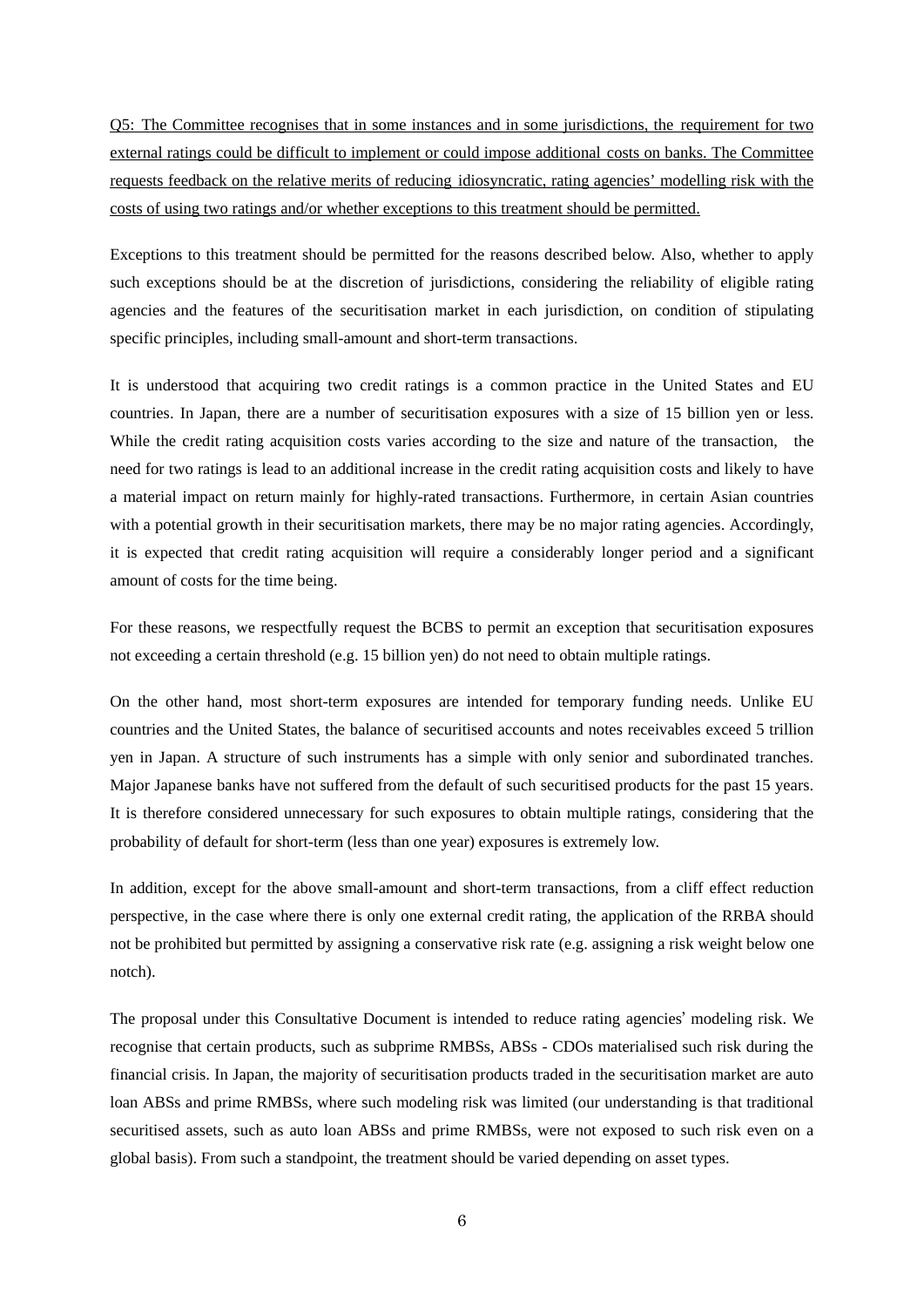Q5: The Committee recognises that in some instances and in some jurisdictions, the requirement for two external ratings could be difficult to implement or could impose additional costs on banks. The Committee requests feedback on the relative merits of reducing idiosyncratic, rating agencies' modelling risk with the costs of using two ratings and/or whether exceptions to this treatment should be permitted.

Exceptions to this treatment should be permitted for the reasons described below. Also, whether to apply such exceptions should be at the discretion of jurisdictions, considering the reliability of eligible rating agencies and the features of the securitisation market in each jurisdiction, on condition of stipulating specific principles, including small-amount and short-term transactions.

It is understood that acquiring two credit ratings is a common practice in the United States and EU countries. In Japan, there are a number of securitisation exposures with a size of 15 billion yen or less. While the credit rating acquisition costs varies according to the size and nature of the transaction, the need for two ratings is lead to an additional increase in the credit rating acquisition costs and likely to have a material impact on return mainly for highly-rated transactions. Furthermore, in certain Asian countries with a potential growth in their securitisation markets, there may be no major rating agencies. Accordingly, it is expected that credit rating acquisition will require a considerably longer period and a significant amount of costs for the time being.

For these reasons, we respectfully request the BCBS to permit an exception that securitisation exposures not exceeding a certain threshold (e.g. 15 billion yen) do not need to obtain multiple ratings.

On the other hand, most short-term exposures are intended for temporary funding needs. Unlike EU countries and the United States, the balance of securitised accounts and notes receivables exceed 5 trillion yen in Japan. A structure of such instruments has a simple with only senior and subordinated tranches. Major Japanese banks have not suffered from the default of such securitised products for the past 15 years. It is therefore considered unnecessary for such exposures to obtain multiple ratings, considering that the probability of default for short-term (less than one year) exposures is extremely low.

In addition, except for the above small-amount and short-term transactions, from a cliff effect reduction perspective, in the case where there is only one external credit rating, the application of the RRBA should not be prohibited but permitted by assigning a conservative risk rate (e.g. assigning a risk weight below one notch).

The proposal under this Consultative Document is intended to reduce rating agencies' modeling risk. We recognise that certain products, such as subprime RMBSs, ABSs - CDOs materialised such risk during the financial crisis. In Japan, the majority of securitisation products traded in the securitisation market are auto loan ABSs and prime RMBSs, where such modeling risk was limited (our understanding is that traditional securitised assets, such as auto loan ABSs and prime RMBSs, were not exposed to such risk even on a global basis). From such a standpoint, the treatment should be varied depending on asset types.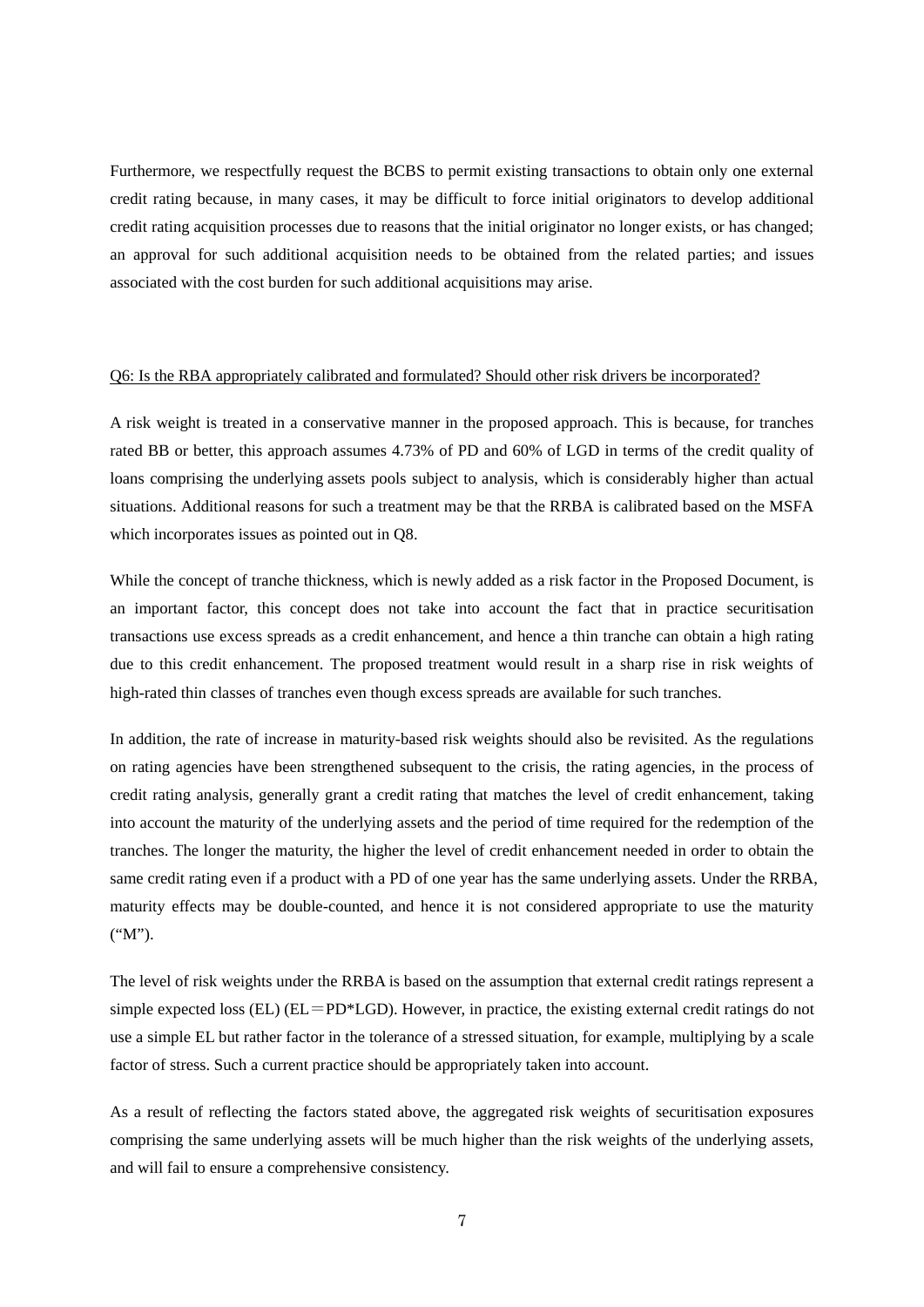Furthermore, we respectfully request the BCBS to permit existing transactions to obtain only one external credit rating because, in many cases, it may be difficult to force initial originators to develop additional credit rating acquisition processes due to reasons that the initial originator no longer exists, or has changed; an approval for such additional acquisition needs to be obtained from the related parties; and issues associated with the cost burden for such additional acquisitions may arise.

#### Q6: Is the RBA appropriately calibrated and formulated? Should other risk drivers be incorporated?

A risk weight is treated in a conservative manner in the proposed approach. This is because, for tranches rated BB or better, this approach assumes 4.73% of PD and 60% of LGD in terms of the credit quality of loans comprising the underlying assets pools subject to analysis, which is considerably higher than actual situations. Additional reasons for such a treatment may be that the RRBA is calibrated based on the MSFA which incorporates issues as pointed out in Q8.

While the concept of tranche thickness, which is newly added as a risk factor in the Proposed Document, is an important factor, this concept does not take into account the fact that in practice securitisation transactions use excess spreads as a credit enhancement, and hence a thin tranche can obtain a high rating due to this credit enhancement. The proposed treatment would result in a sharp rise in risk weights of high-rated thin classes of tranches even though excess spreads are available for such tranches.

In addition, the rate of increase in maturity-based risk weights should also be revisited. As the regulations on rating agencies have been strengthened subsequent to the crisis, the rating agencies, in the process of credit rating analysis, generally grant a credit rating that matches the level of credit enhancement, taking into account the maturity of the underlying assets and the period of time required for the redemption of the tranches. The longer the maturity, the higher the level of credit enhancement needed in order to obtain the same credit rating even if a product with a PD of one year has the same underlying assets. Under the RRBA, maturity effects may be double-counted, and hence it is not considered appropriate to use the maturity ("M").

The level of risk weights under the RRBA is based on the assumption that external credit ratings represent a simple expected loss (EL) ( $EL=PD*LGD$ ). However, in practice, the existing external credit ratings do not use a simple EL but rather factor in the tolerance of a stressed situation, for example, multiplying by a scale factor of stress. Such a current practice should be appropriately taken into account.

As a result of reflecting the factors stated above, the aggregated risk weights of securitisation exposures comprising the same underlying assets will be much higher than the risk weights of the underlying assets, and will fail to ensure a comprehensive consistency.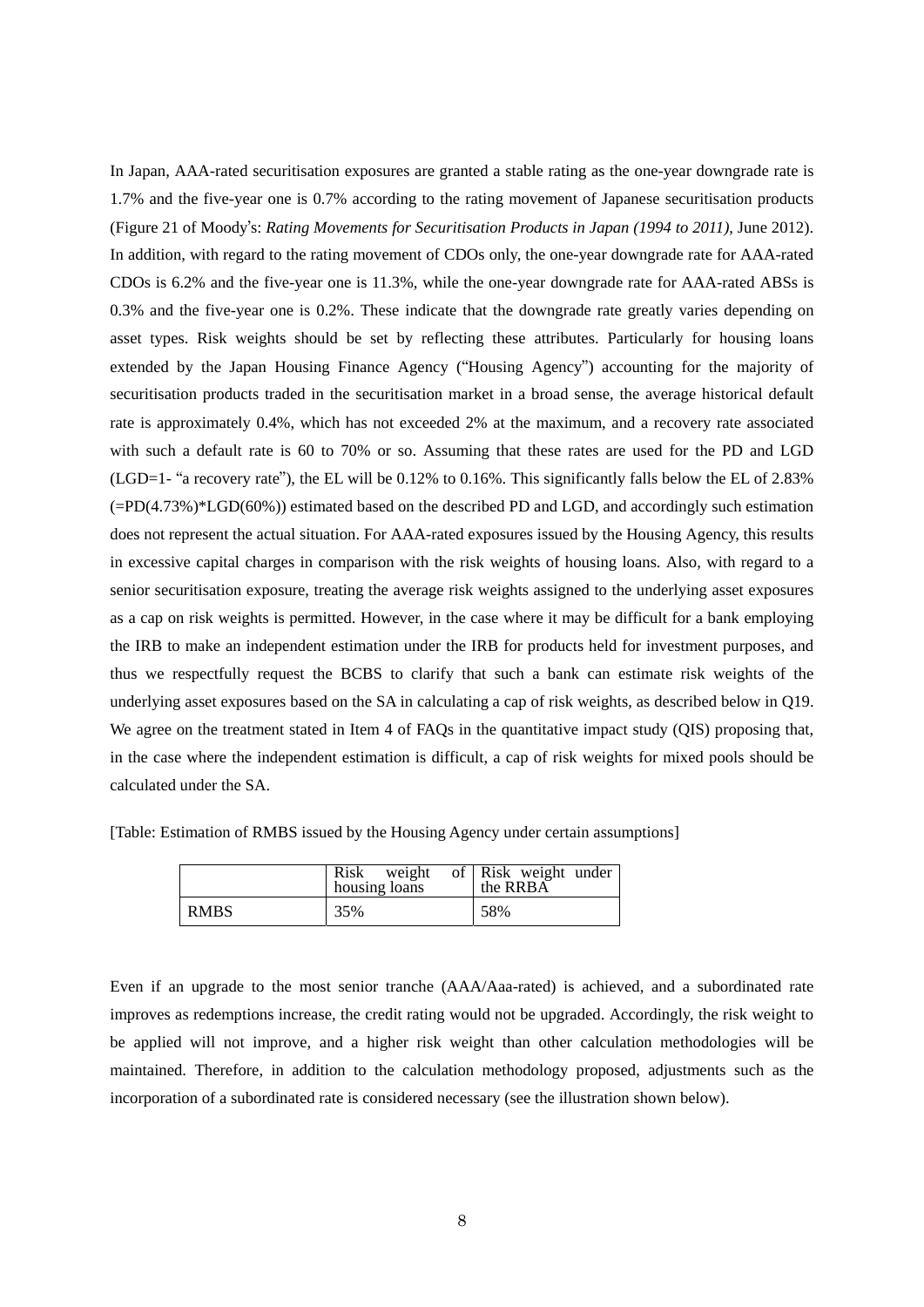In Japan, AAA-rated securitisation exposures are granted a stable rating as the one-year downgrade rate is 1.7% and the five-year one is 0.7% according to the rating movement of Japanese securitisation products (Figure 21 of Moody's: *Rating Movements for Securitisation Products in Japan (1994 to 2011)*, June 2012). In addition, with regard to the rating movement of CDOs only, the one-year downgrade rate for AAA-rated CDOs is 6.2% and the five-year one is 11.3%, while the one-year downgrade rate for AAA-rated ABSs is 0.3% and the five-year one is 0.2%. These indicate that the downgrade rate greatly varies depending on asset types. Risk weights should be set by reflecting these attributes. Particularly for housing loans extended by the Japan Housing Finance Agency ("Housing Agency") accounting for the majority of securitisation products traded in the securitisation market in a broad sense, the average historical default rate is approximately 0.4%, which has not exceeded 2% at the maximum, and a recovery rate associated with such a default rate is 60 to 70% or so. Assuming that these rates are used for the PD and LGD (LGD=1- "a recovery rate"), the EL will be 0.12% to 0.16%. This significantly falls below the EL of 2.83% (=PD(4.73%)\*LGD(60%)) estimated based on the described PD and LGD, and accordingly such estimation does not represent the actual situation. For AAA-rated exposures issued by the Housing Agency, this results in excessive capital charges in comparison with the risk weights of housing loans. Also, with regard to a senior securitisation exposure, treating the average risk weights assigned to the underlying asset exposures as a cap on risk weights is permitted. However, in the case where it may be difficult for a bank employing the IRB to make an independent estimation under the IRB for products held for investment purposes, and thus we respectfully request the BCBS to clarify that such a bank can estimate risk weights of the underlying asset exposures based on the SA in calculating a cap of risk weights, as described below in Q19. We agree on the treatment stated in Item 4 of FAQs in the quantitative impact study (QIS) proposing that, in the case where the independent estimation is difficult, a cap of risk weights for mixed pools should be calculated under the SA.

|             | Risk<br>weight<br>housing loans | of Risk weight under<br>the RRBA |
|-------------|---------------------------------|----------------------------------|
| <b>RMBS</b> | 35%                             | 58%                              |

[Table: Estimation of RMBS issued by the Housing Agency under certain assumptions]

Even if an upgrade to the most senior tranche (AAA/Aaa-rated) is achieved, and a subordinated rate improves as redemptions increase, the credit rating would not be upgraded. Accordingly, the risk weight to be applied will not improve, and a higher risk weight than other calculation methodologies will be maintained. Therefore, in addition to the calculation methodology proposed, adjustments such as the incorporation of a subordinated rate is considered necessary (see the illustration shown below).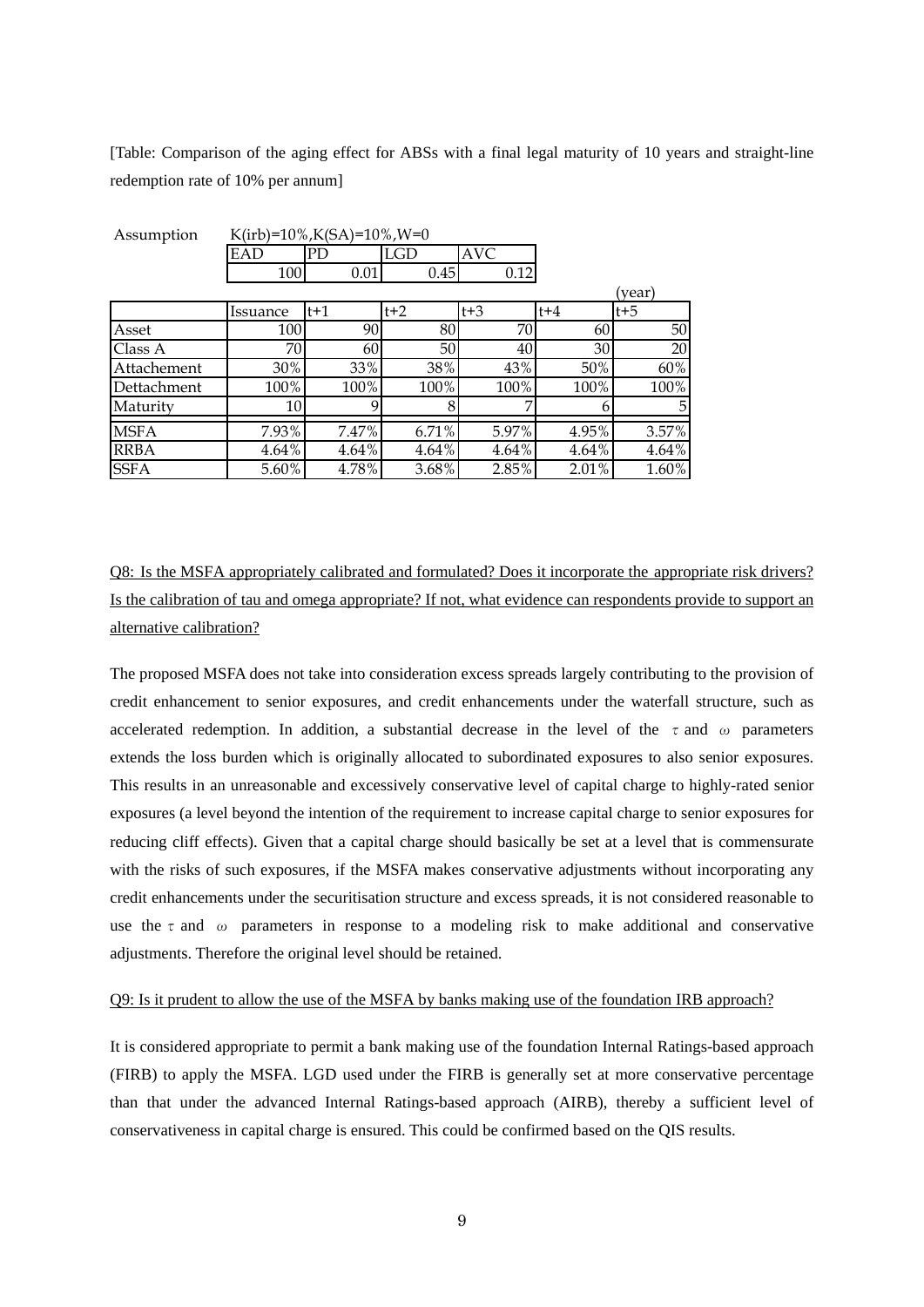[Table: Comparison of the aging effect for ABSs with a final legal maturity of 10 years and straight-line redemption rate of 10% per annum]

| Assumption  |          | K(irb)= $10\%, K(SA)=10\%, W=0$ |          |            |       |         |
|-------------|----------|---------------------------------|----------|------------|-------|---------|
|             | EAD      | <b>PD</b>                       | LGD      | <b>AVC</b> |       |         |
|             | 100      | 0.01                            | 0.45     | 0.12       |       |         |
|             |          |                                 |          |            |       | (year)  |
|             | Issuance | $t+1$                           | $t+2$    | $t + 3$    | $t+4$ | $t + 5$ |
| Asset       | 100      | 90                              | 80       | 70         | 60    | 50      |
| Class A     | 70       | 60                              | 50       | 40         | 30    | 20      |
| Attachement | 30%      | 33%                             | 38%      | 43%        | 50%   | 60%     |
| Dettachment | 100%     | 100%                            | 100%     | 100%       | 100%  | 100%    |
| Maturity    | 10       | 9                               | 8        | 7          | 6     | 5       |
| <b>MSFA</b> | 7.93%    | 7.47%                           | 6.71%    | 5.97%      | 4.95% | 3.57%   |
| <b>RRBA</b> | 4.64%    | 4.64%                           | $4.64\%$ | 4.64%      | 4.64% | 4.64%   |
| <b>SSFA</b> | 5.60%    | 4.78%                           | 3.68%    | 2.85%      | 2.01% | 1.60%   |

Q8: Is the MSFA appropriately calibrated and formulated? Does it incorporate the appropriate risk drivers? Is the calibration of tau and omega appropriate? If not, what evidence can respondents provide to support an alternative calibration?

The proposed MSFA does not take into consideration excess spreads largely contributing to the provision of credit enhancement to senior exposures, and credit enhancements under the waterfall structure, such as accelerated redemption. In addition, a substantial decrease in the level of the  $\tau$  and  $\omega$  parameters extends the loss burden which is originally allocated to subordinated exposures to also senior exposures. This results in an unreasonable and excessively conservative level of capital charge to highly-rated senior exposures (a level beyond the intention of the requirement to increase capital charge to senior exposures for reducing cliff effects). Given that a capital charge should basically be set at a level that is commensurate with the risks of such exposures, if the MSFA makes conservative adjustments without incorporating any credit enhancements under the securitisation structure and excess spreads, it is not considered reasonable to use the  $\tau$  and  $\omega$  parameters in response to a modeling risk to make additional and conservative adjustments. Therefore the original level should be retained.

#### Q9: Is it prudent to allow the use of the MSFA by banks making use of the foundation IRB approach?

It is considered appropriate to permit a bank making use of the foundation Internal Ratings-based approach (FIRB) to apply the MSFA. LGD used under the FIRB is generally set at more conservative percentage than that under the advanced Internal Ratings-based approach (AIRB), thereby a sufficient level of conservativeness in capital charge is ensured. This could be confirmed based on the QIS results.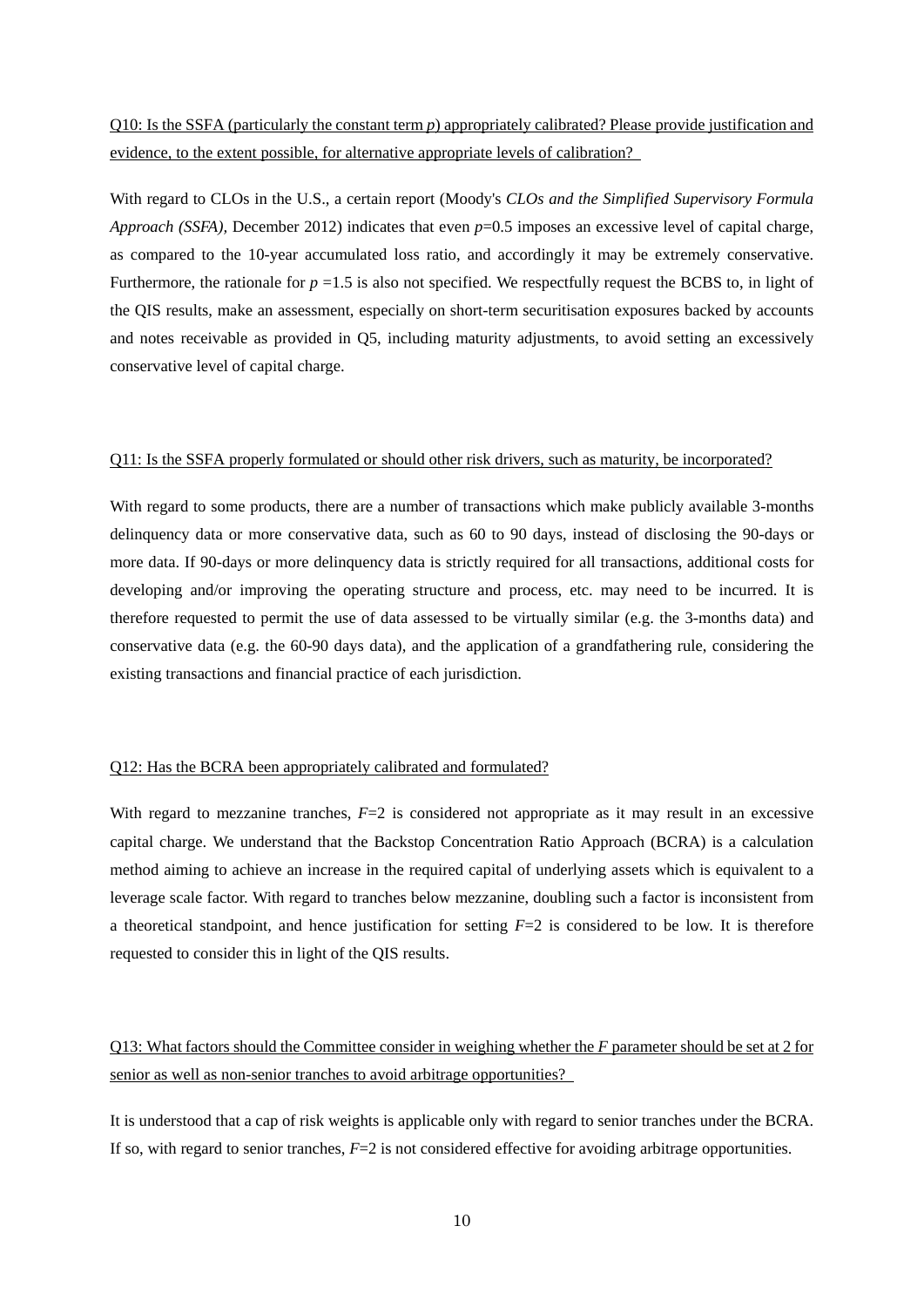## Q10: Is the SSFA (particularly the constant term *p*) appropriately calibrated? Please provide justification and evidence, to the extent possible, for alternative appropriate levels of calibration?

With regard to CLOs in the U.S., a certain report (Moody's *CLOs and the Simplified Supervisory Formula Approach (SSFA),* December 2012) indicates that even *p*=0.5 imposes an excessive level of capital charge, as compared to the 10-year accumulated loss ratio, and accordingly it may be extremely conservative. Furthermore, the rationale for  $p = 1.5$  is also not specified. We respectfully request the BCBS to, in light of the QIS results, make an assessment, especially on short-term securitisation exposures backed by accounts and notes receivable as provided in Q5, including maturity adjustments, to avoid setting an excessively conservative level of capital charge.

#### Q11: Is the SSFA properly formulated or should other risk drivers, such as maturity, be incorporated?

With regard to some products, there are a number of transactions which make publicly available 3-months delinquency data or more conservative data, such as 60 to 90 days, instead of disclosing the 90-days or more data. If 90-days or more delinquency data is strictly required for all transactions, additional costs for developing and/or improving the operating structure and process, etc. may need to be incurred. It is therefore requested to permit the use of data assessed to be virtually similar (e.g. the 3-months data) and conservative data (e.g. the 60-90 days data), and the application of a grandfathering rule, considering the existing transactions and financial practice of each jurisdiction.

## Q12: Has the BCRA been appropriately calibrated and formulated?

With regard to mezzanine tranches,  $F=2$  is considered not appropriate as it may result in an excessive capital charge. We understand that the Backstop Concentration Ratio Approach (BCRA) is a calculation method aiming to achieve an increase in the required capital of underlying assets which is equivalent to a leverage scale factor. With regard to tranches below mezzanine, doubling such a factor is inconsistent from a theoretical standpoint, and hence justification for setting *F*=2 is considered to be low. It is therefore requested to consider this in light of the QIS results.

Q13: What factors should the Committee consider in weighing whether the *F* parameter should be set at 2 for senior as well as non-senior tranches to avoid arbitrage opportunities?

It is understood that a cap of risk weights is applicable only with regard to senior tranches under the BCRA. If so, with regard to senior tranches,  $F=2$  is not considered effective for avoiding arbitrage opportunities.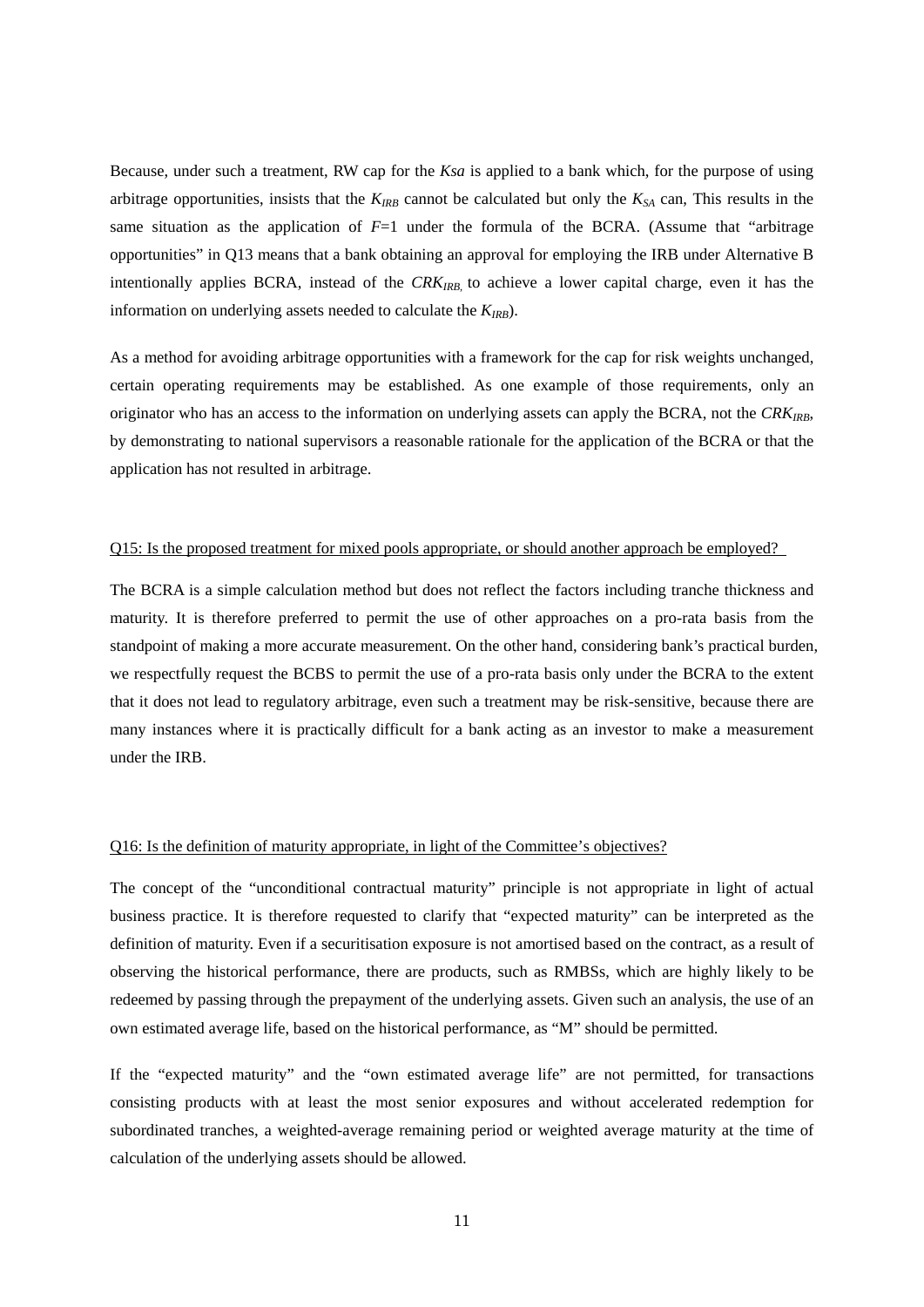Because, under such a treatment, RW cap for the *Ksa* is applied to a bank which, for the purpose of using arbitrage opportunities, insists that the  $K_{IRB}$  cannot be calculated but only the  $K_{SA}$  can, This results in the same situation as the application of *F*=1 under the formula of the BCRA. (Assume that "arbitrage opportunities" in Q13 means that a bank obtaining an approval for employing the IRB under Alternative B intentionally applies BCRA, instead of the CRKIRB, to achieve a lower capital charge, even it has the information on underlying assets needed to calculate the  $K_{IRB}$ ).

As a method for avoiding arbitrage opportunities with a framework for the cap for risk weights unchanged, certain operating requirements may be established. As one example of those requirements, only an originator who has an access to the information on underlying assets can apply the BCRA, not the  $CRK_{IRB}$ , by demonstrating to national supervisors a reasonable rationale for the application of the BCRA or that the application has not resulted in arbitrage.

#### Q15: Is the proposed treatment for mixed pools appropriate, or should another approach be employed?

The BCRA is a simple calculation method but does not reflect the factors including tranche thickness and maturity. It is therefore preferred to permit the use of other approaches on a pro-rata basis from the standpoint of making a more accurate measurement. On the other hand, considering bank's practical burden, we respectfully request the BCBS to permit the use of a pro-rata basis only under the BCRA to the extent that it does not lead to regulatory arbitrage, even such a treatment may be risk-sensitive, because there are many instances where it is practically difficult for a bank acting as an investor to make a measurement under the IRB.

## Q16: Is the definition of maturity appropriate, in light of the Committee's objectives?

The concept of the "unconditional contractual maturity" principle is not appropriate in light of actual business practice. It is therefore requested to clarify that "expected maturity" can be interpreted as the definition of maturity. Even if a securitisation exposure is not amortised based on the contract, as a result of observing the historical performance, there are products, such as RMBSs, which are highly likely to be redeemed by passing through the prepayment of the underlying assets. Given such an analysis, the use of an own estimated average life, based on the historical performance, as "M" should be permitted.

If the "expected maturity" and the "own estimated average life" are not permitted, for transactions consisting products with at least the most senior exposures and without accelerated redemption for subordinated tranches, a weighted-average remaining period or weighted average maturity at the time of calculation of the underlying assets should be allowed.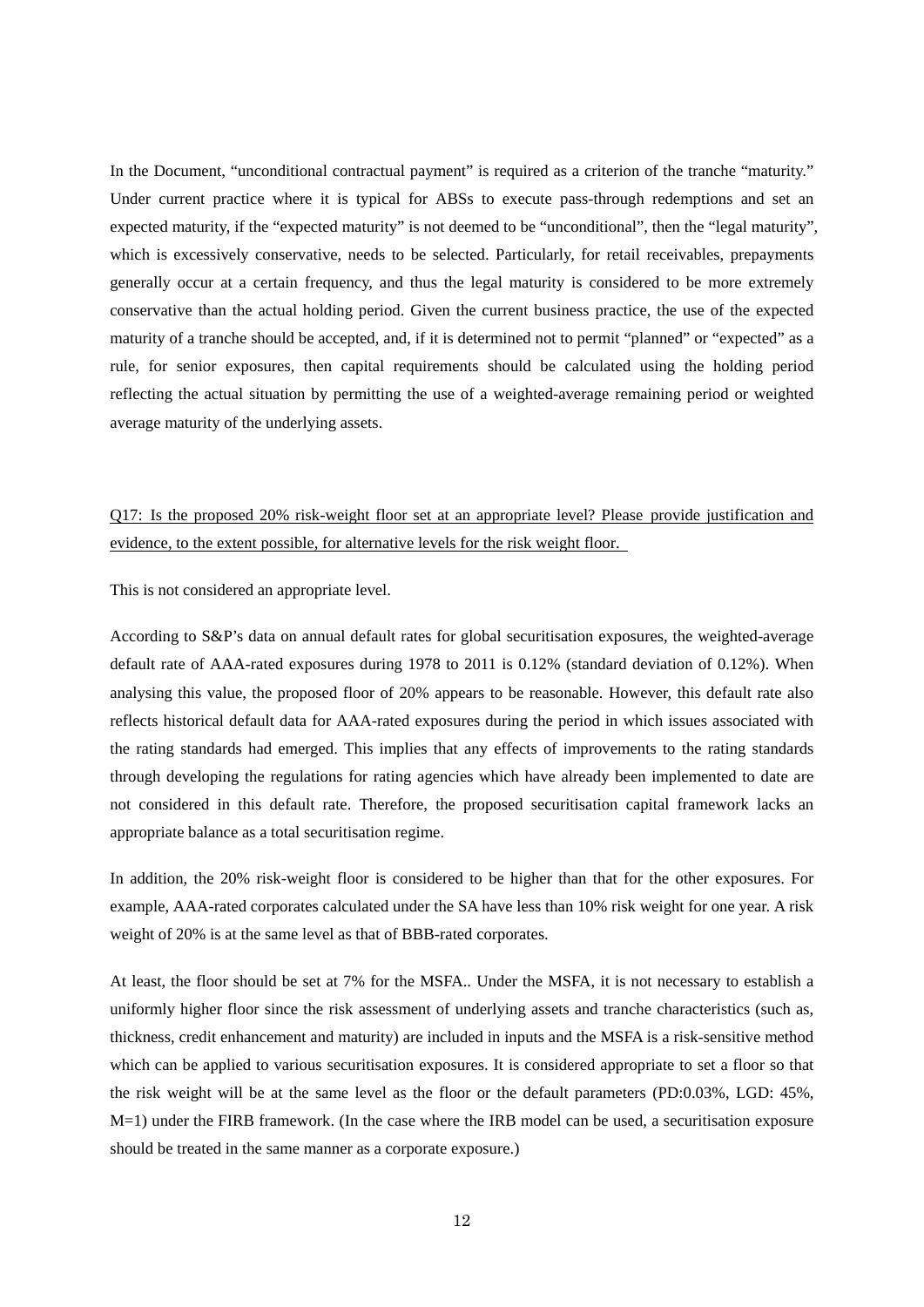In the Document, "unconditional contractual payment" is required as a criterion of the tranche "maturity." Under current practice where it is typical for ABSs to execute pass-through redemptions and set an expected maturity, if the "expected maturity" is not deemed to be "unconditional", then the "legal maturity", which is excessively conservative, needs to be selected. Particularly, for retail receivables, prepayments generally occur at a certain frequency, and thus the legal maturity is considered to be more extremely conservative than the actual holding period. Given the current business practice, the use of the expected maturity of a tranche should be accepted, and, if it is determined not to permit "planned" or "expected" as a rule, for senior exposures, then capital requirements should be calculated using the holding period reflecting the actual situation by permitting the use of a weighted-average remaining period or weighted average maturity of the underlying assets.

# Q17: Is the proposed 20% risk-weight floor set at an appropriate level? Please provide justification and evidence, to the extent possible, for alternative levels for the risk weight floor.

This is not considered an appropriate level.

According to S&P's data on annual default rates for global securitisation exposures, the weighted-average default rate of AAA-rated exposures during 1978 to 2011 is 0.12% (standard deviation of 0.12%). When analysing this value, the proposed floor of 20% appears to be reasonable. However, this default rate also reflects historical default data for AAA-rated exposures during the period in which issues associated with the rating standards had emerged. This implies that any effects of improvements to the rating standards through developing the regulations for rating agencies which have already been implemented to date are not considered in this default rate. Therefore, the proposed securitisation capital framework lacks an appropriate balance as a total securitisation regime.

In addition, the 20% risk-weight floor is considered to be higher than that for the other exposures. For example, AAA-rated corporates calculated under the SA have less than 10% risk weight for one year. A risk weight of 20% is at the same level as that of BBB-rated corporates.

At least, the floor should be set at 7% for the MSFA.. Under the MSFA, it is not necessary to establish a uniformly higher floor since the risk assessment of underlying assets and tranche characteristics (such as, thickness, credit enhancement and maturity) are included in inputs and the MSFA is a risk-sensitive method which can be applied to various securitisation exposures. It is considered appropriate to set a floor so that the risk weight will be at the same level as the floor or the default parameters (PD:0.03%, LGD: 45%, M=1) under the FIRB framework. (In the case where the IRB model can be used, a securitisation exposure should be treated in the same manner as a corporate exposure.)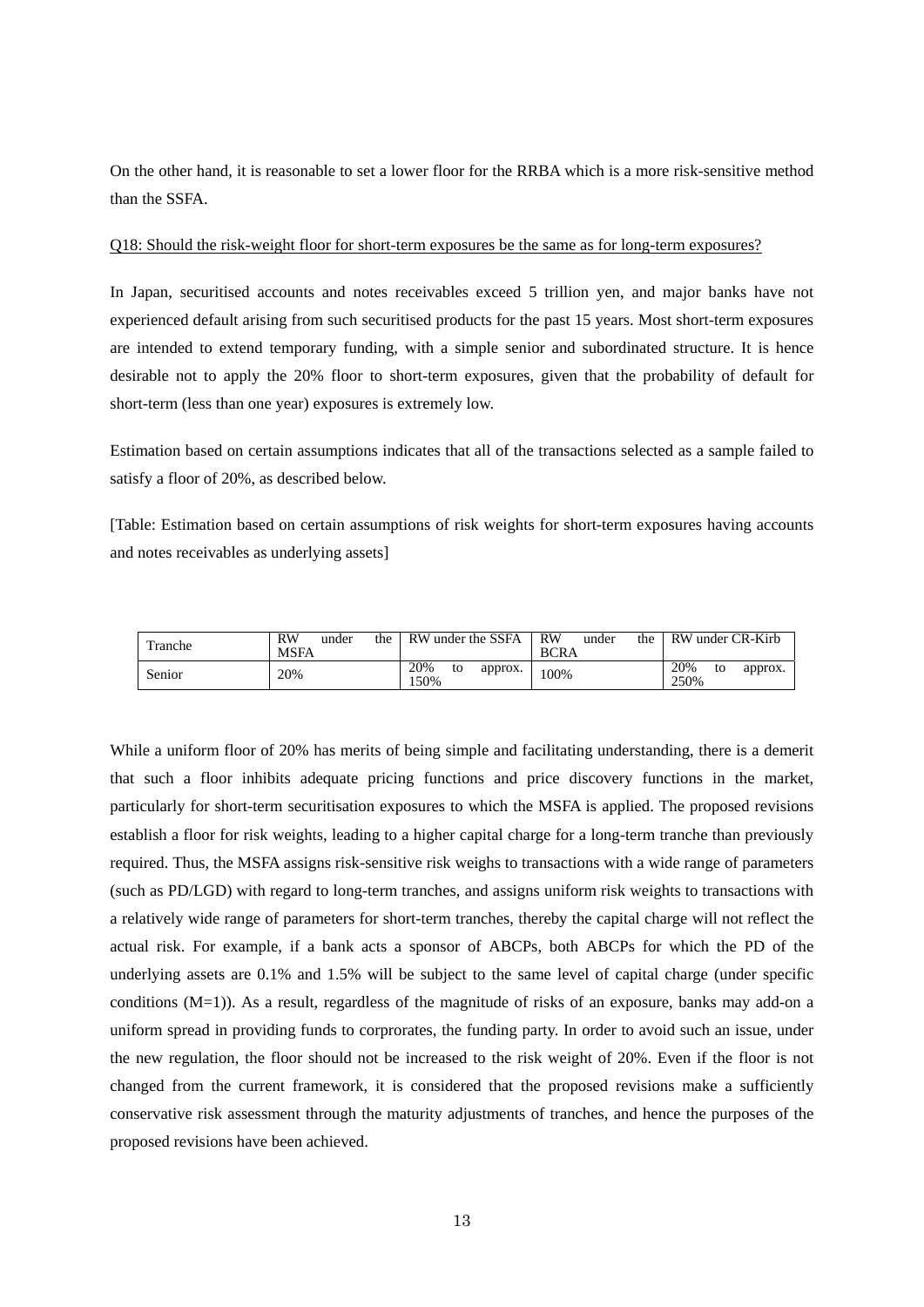On the other hand, it is reasonable to set a lower floor for the RRBA which is a more risk-sensitive method than the SSFA.

#### Q18: Should the risk-weight floor for short-term exposures be the same as for long-term exposures?

In Japan, securitised accounts and notes receivables exceed 5 trillion yen, and major banks have not experienced default arising from such securitised products for the past 15 years. Most short-term exposures are intended to extend temporary funding, with a simple senior and subordinated structure. It is hence desirable not to apply the 20% floor to short-term exposures, given that the probability of default for short-term (less than one year) exposures is extremely low.

Estimation based on certain assumptions indicates that all of the transactions selected as a sample failed to satisfy a floor of 20%, as described below.

[Table: Estimation based on certain assumptions of risk weights for short-term exposures having accounts and notes receivables as underlying assets]

| Tranche | RW<br>the<br>under<br><b>MSFA</b> | RW under the SSFA            | <b>RW</b><br>the<br>under<br><b>BCRA</b> | RW under CR-Kirb             |
|---------|-----------------------------------|------------------------------|------------------------------------------|------------------------------|
| Senior  | 20%                               | 20%<br>to<br>approx.<br>150% | .00%                                     | 20%<br>approx.<br>to<br>250% |

While a uniform floor of 20% has merits of being simple and facilitating understanding, there is a demerit that such a floor inhibits adequate pricing functions and price discovery functions in the market, particularly for short-term securitisation exposures to which the MSFA is applied. The proposed revisions establish a floor for risk weights, leading to a higher capital charge for a long-term tranche than previously required. Thus, the MSFA assigns risk-sensitive risk weighs to transactions with a wide range of parameters (such as PD/LGD) with regard to long-term tranches, and assigns uniform risk weights to transactions with a relatively wide range of parameters for short-term tranches, thereby the capital charge will not reflect the actual risk. For example, if a bank acts a sponsor of ABCPs, both ABCPs for which the PD of the underlying assets are 0.1% and 1.5% will be subject to the same level of capital charge (under specific conditions (M=1)). As a result, regardless of the magnitude of risks of an exposure, banks may add-on a uniform spread in providing funds to corprorates, the funding party. In order to avoid such an issue, under the new regulation, the floor should not be increased to the risk weight of 20%. Even if the floor is not changed from the current framework, it is considered that the proposed revisions make a sufficiently conservative risk assessment through the maturity adjustments of tranches, and hence the purposes of the proposed revisions have been achieved.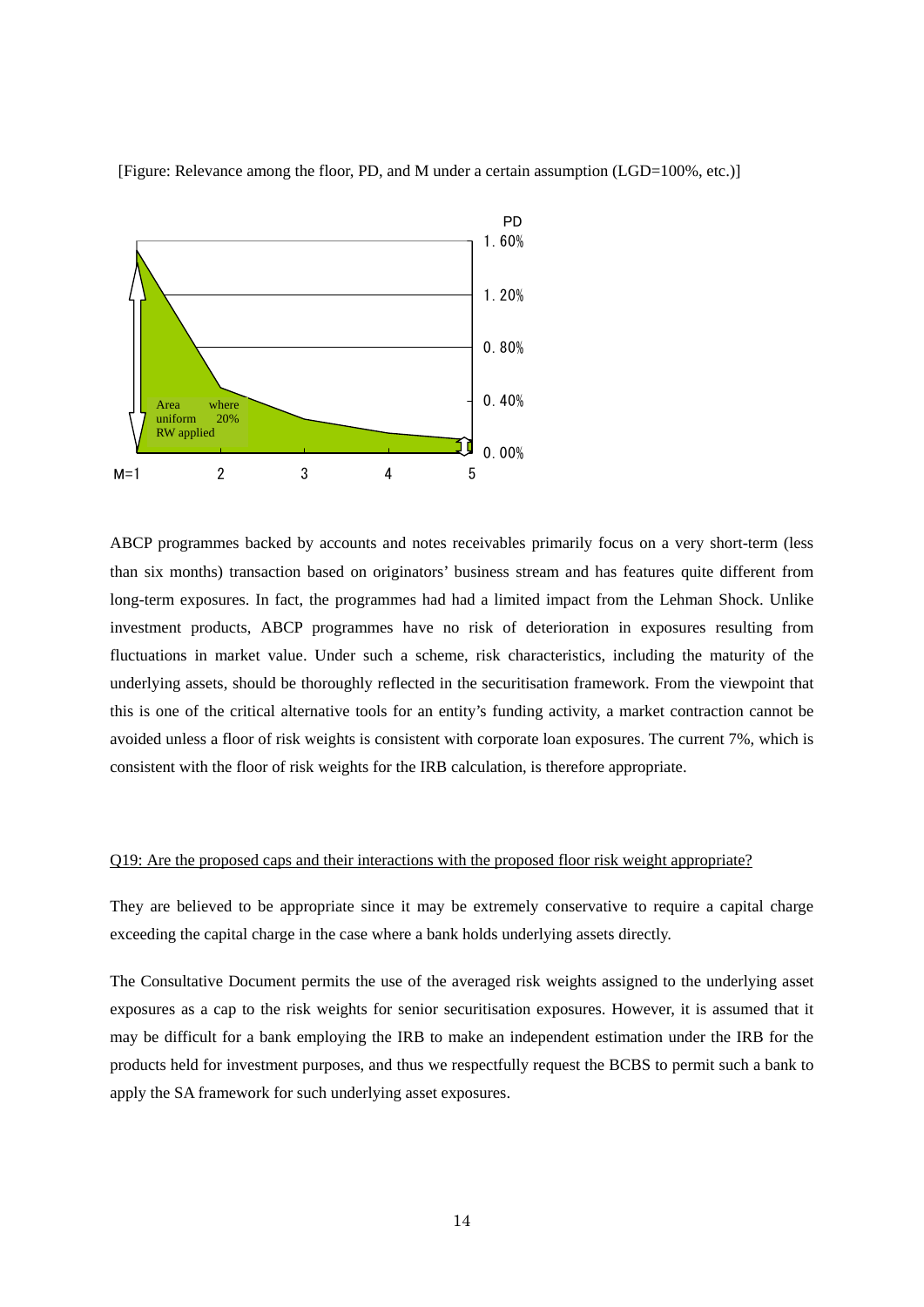

[Figure: Relevance among the floor, PD, and M under a certain assumption (LGD=100%, etc.)]

ABCP programmes backed by accounts and notes receivables primarily focus on a very short-term (less than six months) transaction based on originators' business stream and has features quite different from long-term exposures. In fact, the programmes had had a limited impact from the Lehman Shock. Unlike investment products, ABCP programmes have no risk of deterioration in exposures resulting from fluctuations in market value. Under such a scheme, risk characteristics, including the maturity of the underlying assets, should be thoroughly reflected in the securitisation framework. From the viewpoint that this is one of the critical alternative tools for an entity's funding activity, a market contraction cannot be avoided unless a floor of risk weights is consistent with corporate loan exposures. The current 7%, which is consistent with the floor of risk weights for the IRB calculation, is therefore appropriate.

#### Q19: Are the proposed caps and their interactions with the proposed floor risk weight appropriate?

They are believed to be appropriate since it may be extremely conservative to require a capital charge exceeding the capital charge in the case where a bank holds underlying assets directly.

The Consultative Document permits the use of the averaged risk weights assigned to the underlying asset exposures as a cap to the risk weights for senior securitisation exposures. However, it is assumed that it may be difficult for a bank employing the IRB to make an independent estimation under the IRB for the products held for investment purposes, and thus we respectfully request the BCBS to permit such a bank to apply the SA framework for such underlying asset exposures.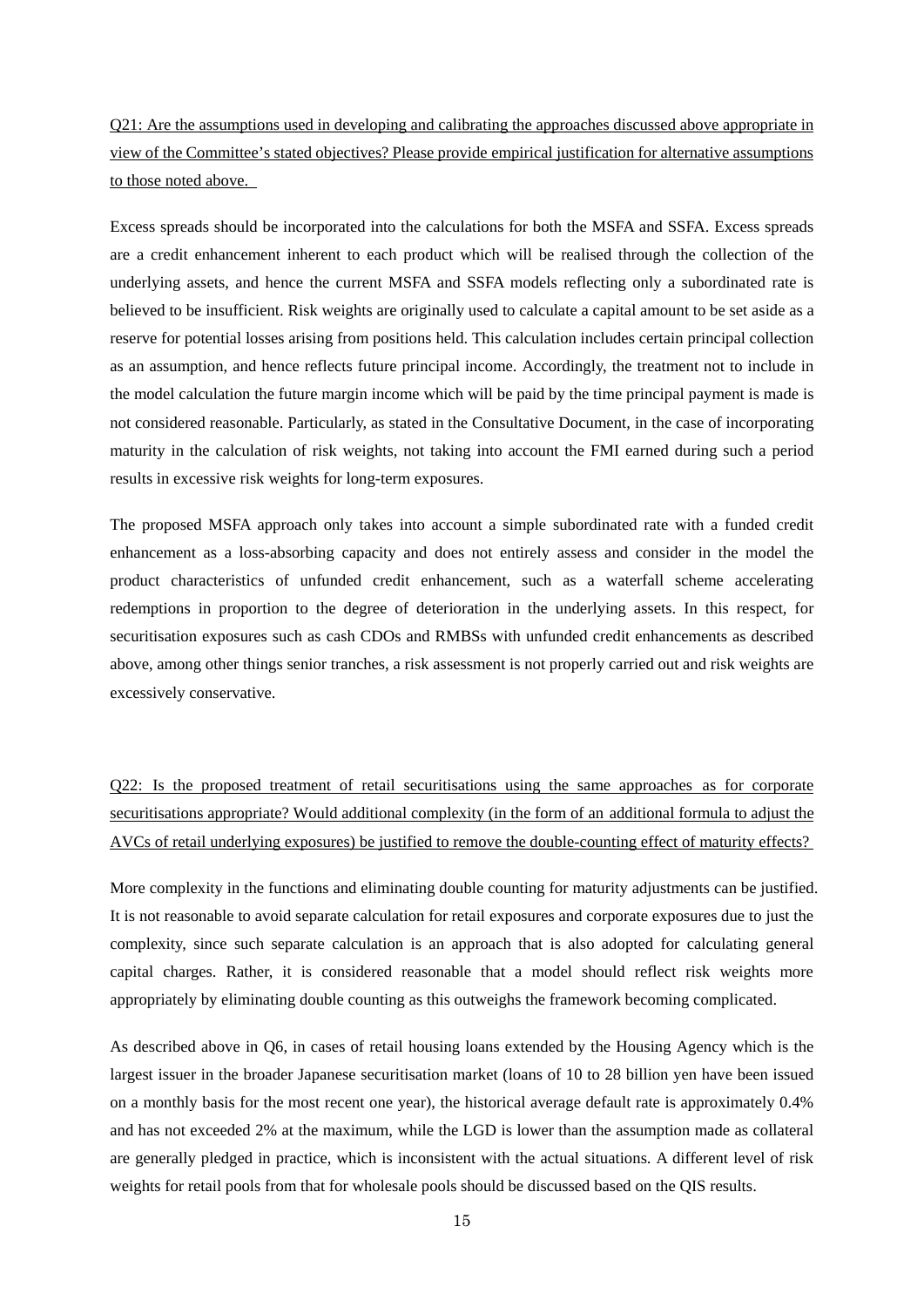Q21: Are the assumptions used in developing and calibrating the approaches discussed above appropriate in view of the Committee's stated objectives? Please provide empirical justification for alternative assumptions to those noted above.

Excess spreads should be incorporated into the calculations for both the MSFA and SSFA. Excess spreads are a credit enhancement inherent to each product which will be realised through the collection of the underlying assets, and hence the current MSFA and SSFA models reflecting only a subordinated rate is believed to be insufficient. Risk weights are originally used to calculate a capital amount to be set aside as a reserve for potential losses arising from positions held. This calculation includes certain principal collection as an assumption, and hence reflects future principal income. Accordingly, the treatment not to include in the model calculation the future margin income which will be paid by the time principal payment is made is not considered reasonable. Particularly, as stated in the Consultative Document, in the case of incorporating maturity in the calculation of risk weights, not taking into account the FMI earned during such a period results in excessive risk weights for long-term exposures.

The proposed MSFA approach only takes into account a simple subordinated rate with a funded credit enhancement as a loss-absorbing capacity and does not entirely assess and consider in the model the product characteristics of unfunded credit enhancement, such as a waterfall scheme accelerating redemptions in proportion to the degree of deterioration in the underlying assets. In this respect, for securitisation exposures such as cash CDOs and RMBSs with unfunded credit enhancements as described above, among other things senior tranches, a risk assessment is not properly carried out and risk weights are excessively conservative.

Q22: Is the proposed treatment of retail securitisations using the same approaches as for corporate securitisations appropriate? Would additional complexity (in the form of an additional formula to adjust the AVCs of retail underlying exposures) be justified to remove the double-counting effect of maturity effects?

More complexity in the functions and eliminating double counting for maturity adjustments can be justified. It is not reasonable to avoid separate calculation for retail exposures and corporate exposures due to just the complexity, since such separate calculation is an approach that is also adopted for calculating general capital charges. Rather, it is considered reasonable that a model should reflect risk weights more appropriately by eliminating double counting as this outweighs the framework becoming complicated.

As described above in Q6, in cases of retail housing loans extended by the Housing Agency which is the largest issuer in the broader Japanese securitisation market (loans of 10 to 28 billion yen have been issued on a monthly basis for the most recent one year), the historical average default rate is approximately 0.4% and has not exceeded 2% at the maximum, while the LGD is lower than the assumption made as collateral are generally pledged in practice, which is inconsistent with the actual situations. A different level of risk weights for retail pools from that for wholesale pools should be discussed based on the QIS results.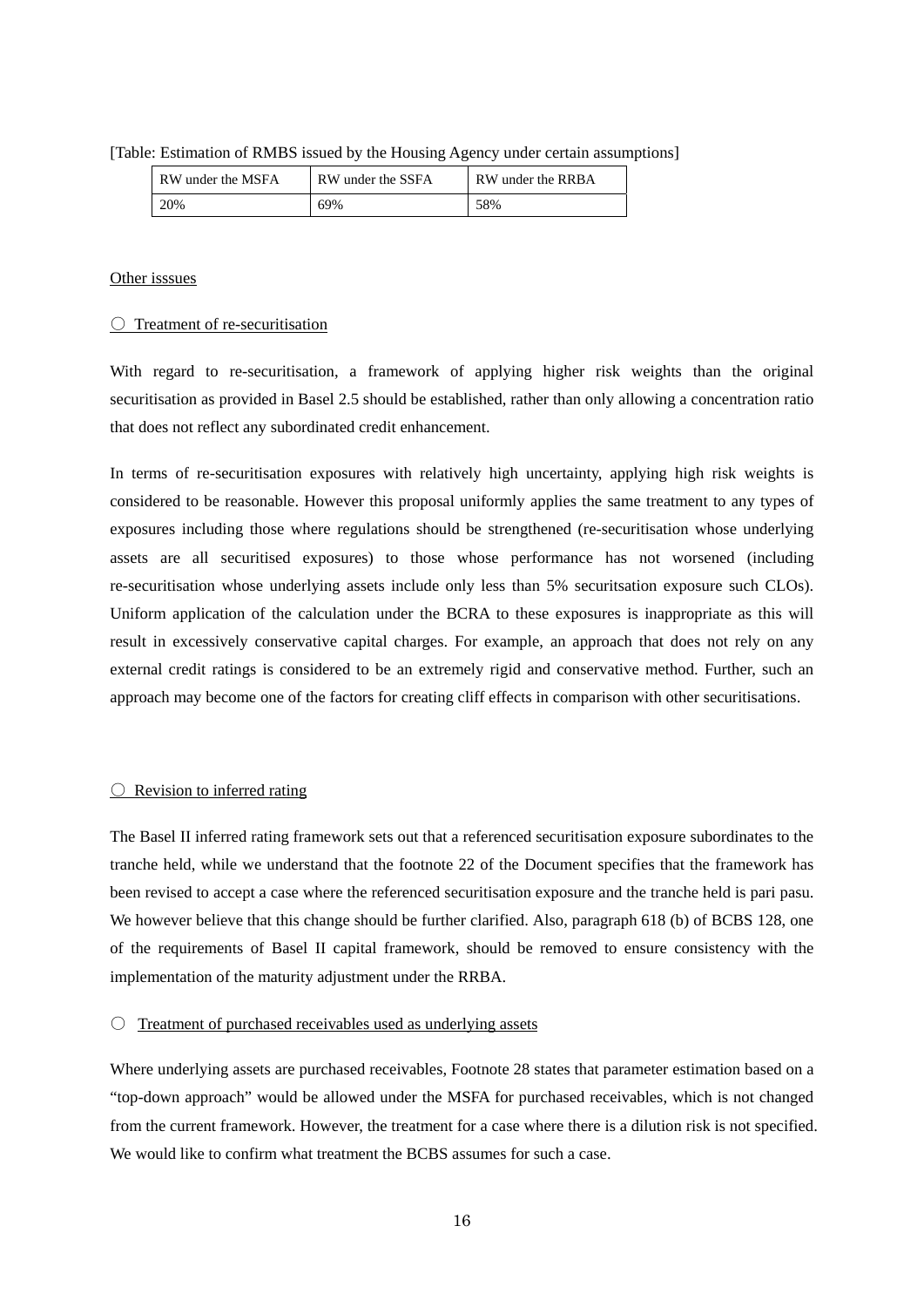| $\omega$ . Estimation of Kivids issued by the Flousing Agency under certain assumption |                   |                   |                   |  |  |  |
|----------------------------------------------------------------------------------------|-------------------|-------------------|-------------------|--|--|--|
|                                                                                        | RW under the MSFA | RW under the SSFA | RW under the RRBA |  |  |  |

|  |  |  | [Table: Estimation of RMBS issued by the Housing Agency under certain assumptions] |
|--|--|--|------------------------------------------------------------------------------------|
|  |  |  |                                                                                    |

20% 69% 58%

### Other isssues

### ○ Treatment of re-securitisation

With regard to re-securitisation, a framework of applying higher risk weights than the original securitisation as provided in Basel 2.5 should be established, rather than only allowing a concentration ratio that does not reflect any subordinated credit enhancement.

In terms of re-securitisation exposures with relatively high uncertainty, applying high risk weights is considered to be reasonable. However this proposal uniformly applies the same treatment to any types of exposures including those where regulations should be strengthened (re-securitisation whose underlying assets are all securitised exposures) to those whose performance has not worsened (including re-securitisation whose underlying assets include only less than 5% securitsation exposure such CLOs). Uniform application of the calculation under the BCRA to these exposures is inappropriate as this will result in excessively conservative capital charges. For example, an approach that does not rely on any external credit ratings is considered to be an extremely rigid and conservative method. Further, such an approach may become one of the factors for creating cliff effects in comparison with other securitisations.

### $\bigcirc$  Revision to inferred rating

The Basel II inferred rating framework sets out that a referenced securitisation exposure subordinates to the tranche held, while we understand that the footnote 22 of the Document specifies that the framework has been revised to accept a case where the referenced securitisation exposure and the tranche held is pari pasu. We however believe that this change should be further clarified. Also, paragraph 618 (b) of BCBS 128, one of the requirements of Basel II capital framework, should be removed to ensure consistency with the implementation of the maturity adjustment under the RRBA.

#### $\circ$  Treatment of purchased receivables used as underlying assets

Where underlying assets are purchased receivables, Footnote 28 states that parameter estimation based on a "top-down approach" would be allowed under the MSFA for purchased receivables, which is not changed from the current framework. However, the treatment for a case where there is a dilution risk is not specified. We would like to confirm what treatment the BCBS assumes for such a case.